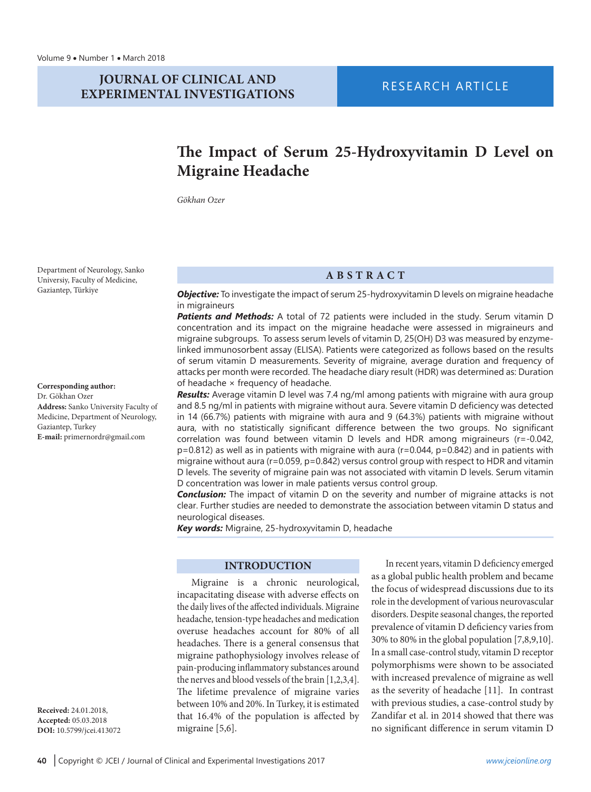## **JOURNAL OF CLINICAL AND EXPERIMENTAL INVESTIGATIONS**

# **RESEARCH ARTICLE**

# **The Impact of Serum 25-Hydroxyvitamin D Level on Migraine Headache**

*Gökhan Ozer*

Department of Neurology, Sanko Universiy, Faculty of Medicine, Gaziantep, Türkiye

#### **Corresponding author:**

Dr. Gökhan Ozer **Address:** Sanko University Faculty of Medicine, Department of Neurology, Gaziantep, Turkey **E-mail:** primernordr@gmail.com

**Received:** 24.01.2018, **Accepted:** 05.03.2018 **DOI:** 10.5799/jcei.413072

## **ABSTRACT**

*Objective:* To investigate the impact of serum 25-hydroxyvitamin D levels on migraine headache in migraineurs

*Patients and Methods:* A total of 72 patients were included in the study. Serum vitamin D concentration and its impact on the migraine headache were assessed in migraineurs and migraine subgroups. To assess serum levels of vitamin D, 25(OH) D3 was measured by enzymelinked immunosorbent assay (ELISA). Patients were categorized as follows based on the results of serum vitamin D measurements. Severity of migraine, average duration and frequency of attacks per month were recorded. The headache diary result (HDR) was determined as: Duration of headache × frequency of headache.

*Results:* Average vitamin D level was 7.4 ng/ml among patients with migraine with aura group and 8.5 ng/ml in patients with migraine without aura. Severe vitamin D deficiency was detected in 14 (66.7%) patients with migraine with aura and 9 (64.3%) patients with migraine without aura, with no statistically significant difference between the two groups. No significant correlation was found between vitamin D levels and HDR among migraineurs (r=-0.042,  $p=0.812$ ) as well as in patients with migraine with aura ( $r=0.044$ ,  $p=0.842$ ) and in patients with migraine without aura (r=0.059, p=0.842) versus control group with respect to HDR and vitamin D levels. The severity of migraine pain was not associated with vitamin D levels. Serum vitamin D concentration was lower in male patients versus control group.

*Conclusion:* The impact of vitamin D on the severity and number of migraine attacks is not clear. Further studies are needed to demonstrate the association between vitamin D status and neurological diseases.

*Key words:* Migraine, 25-hydroxyvitamin D, headache

### **INTRODUCTION**

Migraine is a chronic neurological, incapacitating disease with adverse effects on the daily lives of the affected individuals. Migraine headache, tension-type headaches and medication overuse headaches account for 80% of all headaches. There is a general consensus that migraine pathophysiology involves release of pain-producing inflammatory substances around the nerves and blood vessels of the brain [1,2,3,4]. The lifetime prevalence of migraine varies between 10% and 20%. In Turkey, it is estimated that 16.4% of the population is affected by migraine [5,6].

In recent years, vitamin D deficiency emerged as a global public health problem and became the focus of widespread discussions due to its role in the development of various neurovascular disorders. Despite seasonal changes, the reported prevalence of vitamin D deficiency varies from 30% to 80% in the global population [7,8,9,10]. In a small case-control study, vitamin D receptor polymorphisms were shown to be associated with increased prevalence of migraine as well as the severity of headache [11]. In contrast with previous studies, a case-control study by Zandifar et al. in 2014 showed that there was no significant difference in serum vitamin D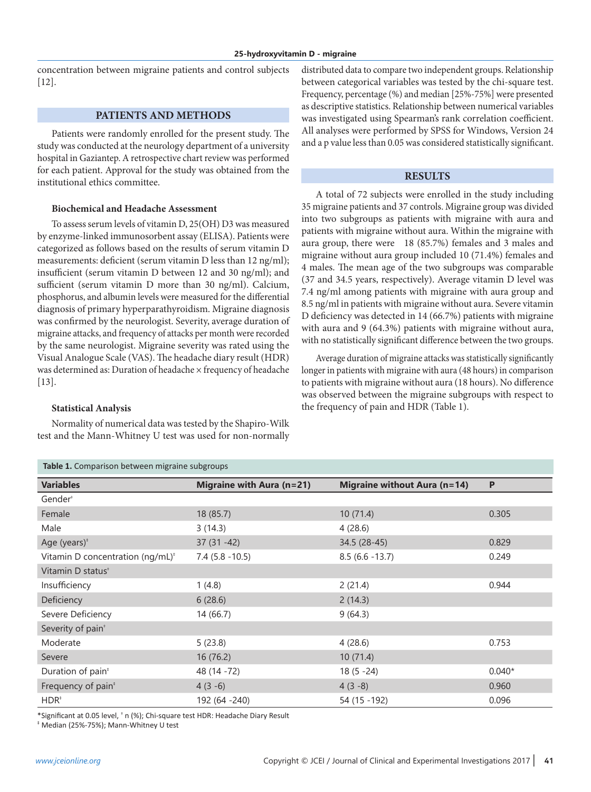concentration between migraine patients and control subjects [12].

### **PATIENTS AND METHODS**

Patients were randomly enrolled for the present study. The study was conducted at the neurology department of a university hospital in Gaziantep. A retrospective chart review was performed for each patient. Approval for the study was obtained from the institutional ethics committee.

### **Biochemical and Headache Assessment**

To assess serum levels of vitamin D, 25(OH) D3 was measured by enzyme-linked immunosorbent assay (ELISA). Patients were categorized as follows based on the results of serum vitamin D measurements: deficient (serum vitamin D less than 12 ng/ml); insufficient (serum vitamin D between 12 and 30 ng/ml); and sufficient (serum vitamin D more than 30 ng/ml). Calcium, phosphorus, and albumin levels were measured for the differential diagnosis of primary hyperparathyroidism. Migraine diagnosis was confirmed by the neurologist. Severity, average duration of migraine attacks, and frequency of attacks per month were recorded by the same neurologist. Migraine severity was rated using the Visual Analogue Scale (VAS). The headache diary result (HDR) was determined as: Duration of headache × frequency of headache [13].

#### **Statistical Analysis**

Normality of numerical data was tested by the Shapiro-Wilk test and the Mann-Whitney U test was used for non-normally distributed data to compare two independent groups. Relationship between categorical variables was tested by the chi-square test. Frequency, percentage (%) and median [25%-75%] were presented as descriptive statistics. Relationship between numerical variables was investigated using Spearman's rank correlation coefficient. All analyses were performed by SPSS for Windows, Version 24 and a p value less than 0.05 was considered statistically significant.

#### **RESULTS**

A total of 72 subjects were enrolled in the study including 35 migraine patients and 37 controls. Migraine group was divided into two subgroups as patients with migraine with aura and patients with migraine without aura. Within the migraine with aura group, there were 18 (85.7%) females and 3 males and migraine without aura group included 10 (71.4%) females and 4 males. The mean age of the two subgroups was comparable (37 and 34.5 years, respectively). Average vitamin D level was 7.4 ng/ml among patients with migraine with aura group and 8.5 ng/ml in patients with migraine without aura. Severe vitamin D deficiency was detected in 14 (66.7%) patients with migraine with aura and 9 (64.3%) patients with migraine without aura, with no statistically significant difference between the two groups.

Average duration of migraine attacks was statistically significantly longer in patients with migraine with aura (48 hours) in comparison to patients with migraine without aura (18 hours). No difference was observed between the migraine subgroups with respect to the frequency of pain and HDR (Table 1).

| Table 1. Comparison between migraine subgroups |                           |                                     |          |  |  |  |  |  |
|------------------------------------------------|---------------------------|-------------------------------------|----------|--|--|--|--|--|
| <b>Variables</b>                               | Migraine with Aura (n=21) | <b>Migraine without Aura (n=14)</b> | P        |  |  |  |  |  |
| Gender <sup>+</sup>                            |                           |                                     |          |  |  |  |  |  |
| Female                                         | 18 (85.7)                 | 10(71.4)                            | 0.305    |  |  |  |  |  |
| Male                                           | 3(14.3)                   | 4(28.6)                             |          |  |  |  |  |  |
| Age (years) $*$                                | $37(31 - 42)$             | 34.5 (28-45)                        | 0.829    |  |  |  |  |  |
| Vitamin D concentration (ng/mL) <sup>*</sup>   | $7.4$ (5.8 - 10.5)        | $8.5(6.6 - 13.7)$                   | 0.249    |  |  |  |  |  |
| Vitamin D status <sup>+</sup>                  |                           |                                     |          |  |  |  |  |  |
| Insufficiency                                  | 1(4.8)                    | 2(21.4)                             | 0.944    |  |  |  |  |  |
| Deficiency                                     | 6(28.6)                   | 2(14.3)                             |          |  |  |  |  |  |
| Severe Deficiency                              | 14 (66.7)                 | 9(64.3)                             |          |  |  |  |  |  |
| Severity of pain <sup>+</sup>                  |                           |                                     |          |  |  |  |  |  |
| Moderate                                       | 5(23.8)                   | 4(28.6)                             | 0.753    |  |  |  |  |  |
| Severe                                         | 16 (76.2)                 | 10(71.4)                            |          |  |  |  |  |  |
| Duration of pain <sup>*</sup>                  | 48 (14 - 72)              | $18(5 - 24)$                        | $0.040*$ |  |  |  |  |  |
| Frequency of pain <sup>*</sup>                 | $4(3-6)$                  | $4(3-8)$                            | 0.960    |  |  |  |  |  |
| $HDR^*$                                        | 192 (64 -240)             | 54 (15 - 192)                       | 0.096    |  |  |  |  |  |

\*Significant at 0.05 level, † n (%); Chi-square test HDR: Headache Diary Result

‡ Median (25%-75%); Mann-Whitney U test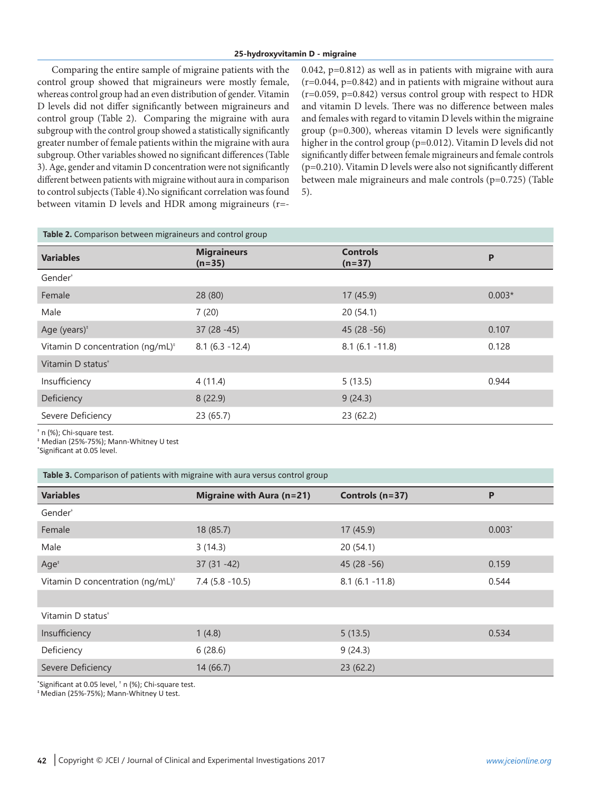Comparing the entire sample of migraine patients with the control group showed that migraineurs were mostly female, whereas control group had an even distribution of gender. Vitamin D levels did not differ significantly between migraineurs and control group (Table 2). Comparing the migraine with aura subgroup with the control group showed a statistically significantly greater number of female patients within the migraine with aura subgroup. Other variables showed no significant differences (Table 3). Age, gender and vitamin D concentration were not significantly different between patients with migraine without aura in comparison to control subjects (Table 4).No significant correlation was found between vitamin D levels and HDR among migraineurs (r=-

0.042, p=0.812) as well as in patients with migraine with aura (r=0.044, p=0.842) and in patients with migraine without aura  $(r=0.059, p=0.842)$  versus control group with respect to HDR and vitamin D levels. There was no difference between males and females with regard to vitamin D levels within the migraine group (p=0.300), whereas vitamin D levels were significantly higher in the control group (p=0.012). Vitamin D levels did not significantly differ between female migraineurs and female controls (p=0.210). Vitamin D levels were also not significantly different between male migraineurs and male controls (p=0.725) (Table 5).

| Table 2. Comparison between migraineurs and control group |                                |                             |          |  |  |  |  |
|-----------------------------------------------------------|--------------------------------|-----------------------------|----------|--|--|--|--|
| <b>Variables</b>                                          | <b>Migraineurs</b><br>$(n=35)$ | <b>Controls</b><br>$(n=37)$ | P        |  |  |  |  |
| Gender <sup>+</sup>                                       |                                |                             |          |  |  |  |  |
| Female                                                    | 28(80)                         | 17(45.9)                    | $0.003*$ |  |  |  |  |
| Male                                                      | 7(20)                          | 20(54.1)                    |          |  |  |  |  |
| Age (years) <sup>*</sup>                                  | $37(28 - 45)$                  | $45(28-56)$                 | 0.107    |  |  |  |  |
| Vitamin D concentration ( $nq/mL$ )*                      | $8.1(6.3 - 12.4)$              | $8.1(6.1 - 11.8)$           | 0.128    |  |  |  |  |
| Vitamin D status <sup>+</sup>                             |                                |                             |          |  |  |  |  |
| Insufficiency                                             | 4(11.4)                        | 5(13.5)                     | 0.944    |  |  |  |  |
| Deficiency                                                | 8(22.9)                        | 9(24.3)                     |          |  |  |  |  |
| Severe Deficiency                                         | 23(65.7)                       | 23(62.2)                    |          |  |  |  |  |

† n (%); Chi-square test.

‡ Median (25%-75%); Mann-Whitney U test

\* Significant at 0.05 level.

| <b>Variables</b>                             | Migraine with Aura (n=21) | Controls $(n=37)$ | P        |
|----------------------------------------------|---------------------------|-------------------|----------|
| Gender <sup>+</sup>                          |                           |                   |          |
| Female                                       | 18 (85.7)                 | 17(45.9)          | $0.003*$ |
| Male                                         | 3(14.3)                   | 20(54.1)          |          |
| Age <sup>‡</sup>                             | $37(31 - 42)$             | $45(28-56)$       | 0.159    |
| Vitamin D concentration (ng/mL) <sup>*</sup> | $7.4$ (5.8 - 10.5)        | $8.1(6.1 - 11.8)$ | 0.544    |
|                                              |                           |                   |          |
| Vitamin D status <sup>+</sup>                |                           |                   |          |
| Insufficiency                                | 1(4.8)                    | 5(13.5)           | 0.534    |
| Deficiency                                   | 6(28.6)                   | 9(24.3)           |          |
| Severe Deficiency                            | 14(66.7)                  | 23(62.2)          |          |

\* Significant at 0.05 level, † n (%); Chi-square test.

‡ Median (25%-75%); Mann-Whitney U test.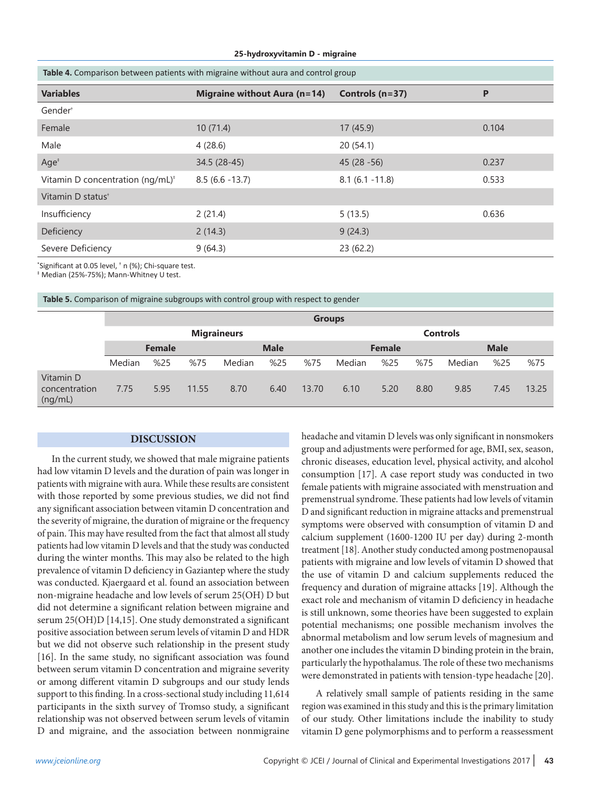#### **25-hydroxyvitamin D - migraine**

| Table 4. Comparison between patients with migraine without aura and control group |                              |                   |       |  |  |  |  |
|-----------------------------------------------------------------------------------|------------------------------|-------------------|-------|--|--|--|--|
| <b>Variables</b>                                                                  | Migraine without Aura (n=14) | Controls (n=37)   | P     |  |  |  |  |
| Gender <sup>+</sup>                                                               |                              |                   |       |  |  |  |  |
| Female                                                                            | 10(71.4)                     | 17(45.9)          | 0.104 |  |  |  |  |
| Male                                                                              | 4(28.6)                      | 20(54.1)          |       |  |  |  |  |
| Age <sup>†</sup>                                                                  | 34.5 (28-45)                 | $45(28 - 56)$     | 0.237 |  |  |  |  |
| Vitamin D concentration (ng/mL) <sup>*</sup>                                      | $8.5(6.6 - 13.7)$            | $8.1(6.1 - 11.8)$ | 0.533 |  |  |  |  |
| Vitamin D status <sup>+</sup>                                                     |                              |                   |       |  |  |  |  |
| Insufficiency                                                                     | 2(21.4)                      | 5(13.5)           | 0.636 |  |  |  |  |
| <b>Deficiency</b>                                                                 | 2(14.3)                      | 9(24.3)           |       |  |  |  |  |
| Severe Deficiency                                                                 | 9(64.3)                      | 23(62.2)          |       |  |  |  |  |

\* Significant at 0.05 level, † n (%); Chi-square test.

‡ Median (25%-75%); Mann-Whitney U test.

**Table 5.** Comparison of migraine subgroups with control group with respect to gender

|                                       | <b>Groups</b>      |      |             |        |               |                 |             |      |      |        |      |       |
|---------------------------------------|--------------------|------|-------------|--------|---------------|-----------------|-------------|------|------|--------|------|-------|
|                                       | <b>Migraineurs</b> |      |             |        |               | <b>Controls</b> |             |      |      |        |      |       |
|                                       | <b>Female</b>      |      | <b>Male</b> |        | <b>Female</b> |                 | <b>Male</b> |      |      |        |      |       |
|                                       | Median             | %25  | %75         | Median | %25           | %75             | Median      | %25  | %75  | Median | %25  | %75   |
| Vitamin D<br>concentration<br>(ng/mL) | 7.75               | 5.95 | 11.55       | 8.70   | 6.40          | 13.70           | 6.10        | 5.20 | 8.80 | 9.85   | 7.45 | 13.25 |

#### **DISCUSSION**

In the current study, we showed that male migraine patients had low vitamin D levels and the duration of pain was longer in patients with migraine with aura. While these results are consistent with those reported by some previous studies, we did not find any significant association between vitamin D concentration and the severity of migraine, the duration of migraine or the frequency of pain. This may have resulted from the fact that almost all study patients had low vitamin D levels and that the study was conducted during the winter months. This may also be related to the high prevalence of vitamin D deficiency in Gaziantep where the study was conducted. Kjaergaard et al. found an association between non-migraine headache and low levels of serum 25(OH) D but did not determine a significant relation between migraine and serum 25(OH)D [14,15]. One study demonstrated a significant positive association between serum levels of vitamin D and HDR but we did not observe such relationship in the present study [16]. In the same study, no significant association was found between serum vitamin D concentration and migraine severity or among different vitamin D subgroups and our study lends support to this finding. In a cross-sectional study including 11,614 participants in the sixth survey of Tromso study, a significant relationship was not observed between serum levels of vitamin D and migraine, and the association between nonmigraine

headache and vitamin D levels was only significant in nonsmokers group and adjustments were performed for age, BMI, sex, season, chronic diseases, education level, physical activity, and alcohol consumption [17]. A case report study was conducted in two female patients with migraine associated with menstruation and premenstrual syndrome. These patients had low levels of vitamin D and significant reduction in migraine attacks and premenstrual symptoms were observed with consumption of vitamin D and calcium supplement (1600-1200 IU per day) during 2-month treatment [18]. Another study conducted among postmenopausal patients with migraine and low levels of vitamin D showed that the use of vitamin D and calcium supplements reduced the frequency and duration of migraine attacks [19]. Although the exact role and mechanism of vitamin D deficiency in headache is still unknown, some theories have been suggested to explain potential mechanisms; one possible mechanism involves the abnormal metabolism and low serum levels of magnesium and another one includes the vitamin D binding protein in the brain, particularly the hypothalamus. The role of these two mechanisms were demonstrated in patients with tension-type headache [20].

A relatively small sample of patients residing in the same region was examined in this study and this is the primary limitation of our study. Other limitations include the inability to study vitamin D gene polymorphisms and to perform a reassessment